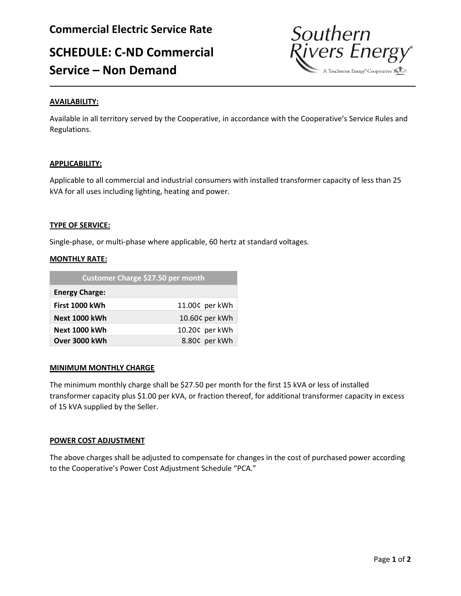# **SCHEDULE: C-ND Commercial Service – Non Demand**



Available in all territory served by the Cooperative, in accordance with the Cooperative's Service Rules and Regulations.

# **APPLICABILITY:**

Applicable to all commercial and industrial consumers with installed transformer capacity of less than 25 kVA for all uses including lighting, heating and power.

# **TYPE OF SERVICE:**

Single-phase, or multi-phase where applicable, 60 hertz at standard voltages.

# **MONTHLY RATE:**

| Customer Charge \$27.50 per month |                |
|-----------------------------------|----------------|
| <b>Energy Charge:</b>             |                |
| First 1000 kWh                    | 11.00¢ per kWh |
| <b>Next 1000 kWh</b>              | 10.60¢ per kWh |
| Next 1000 kWh                     | 10.20¢ per kWh |
| Over 3000 kWh                     | 8.80¢ per kWh  |

#### **MINIMUM MONTHLY CHARGE**

The minimum monthly charge shall be \$27.50 per month for the first 15 kVA or less of installed transformer capacity plus \$1.00 per kVA, or fraction thereof, for additional transformer capacity in excess of 15 kVA supplied by the Seller.

# **POWER COST ADJUSTMENT**

The above charges shall be adjusted to compensate for changes in the cost of purchased power according to the Cooperative's Power Cost Adjustment Schedule "PCA."